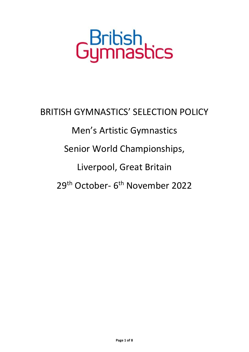## GBribish<br>Gymnastics

BRITISH GYMNASTICS' SELECTION POLICY Men's Artistic Gymnastics Senior World Championships, Liverpool, Great Britain 29<sup>th</sup> October- 6<sup>th</sup> November 2022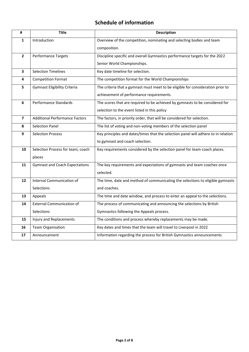## **Schedule of information**

| #              | <b>Title</b>                          | <b>Description</b>                                                                 |  |  |
|----------------|---------------------------------------|------------------------------------------------------------------------------------|--|--|
| 1              | Introduction                          | Overview of the competition, nominating and selecting bodies and team              |  |  |
|                |                                       | composition.                                                                       |  |  |
| $\overline{2}$ | Performance Targets                   | Discipline specific and overall Gymnastics performance targets for the 2022        |  |  |
|                |                                       | Senior World Championships.                                                        |  |  |
| 3              | <b>Selection Timelines</b>            | Key date timeline for selection.                                                   |  |  |
| 4              | <b>Competition Format</b>             | The competition format for the World Championships                                 |  |  |
| 5              | <b>Gymnast Eligibility Criteria</b>   | The criteria that a gymnast must meet to be eligible for consideration prior to    |  |  |
|                |                                       | achievement of performance requirements.                                           |  |  |
| 6              | Performance Standards                 | The scores that are required to be achieved by gymnasts to be considered for       |  |  |
|                |                                       | selection to the event listed in this policy                                       |  |  |
| 7              | <b>Additional Performance Factors</b> | The factors, in priority order, that will be considered for selection.             |  |  |
| 8              | <b>Selection Panel</b>                | The list of voting and non-voting members of the selection panel                   |  |  |
| 9              | <b>Selection Process</b>              | Key principles and dates/times that the selection panel will adhere to in relation |  |  |
|                |                                       | to gymnast and coach selection.                                                    |  |  |
| 10             | Selection Process for team, coach     | Key requirements considered by the selection panel for team coach places.          |  |  |
|                | places                                |                                                                                    |  |  |
| 11             | <b>Gymnast and Coach Expectations</b> | The key requirements and expectations of gymnasts and team coaches once            |  |  |
|                |                                       | selected.                                                                          |  |  |
| 12             | Internal Communication of             | The time, date and method of communicating the selections to eligible gymnasts     |  |  |
|                | Selections                            | and coaches.                                                                       |  |  |
| 13             | Appeals                               | The time and date window, and process to enter an appeal to the selections.        |  |  |
| 14             | <b>External Communication of</b>      | The process of communicating and announcing the selections by British              |  |  |
|                | Selections                            | Gymnastics following the Appeals process.                                          |  |  |
| 15             | Injury and Replacements               | The conditions and process whereby replacements may be made.                       |  |  |
| 16             | <b>Team Organisation</b>              | Key dates and times that the team will travel to Liverpool in 2022                 |  |  |
| 17             | Announcement                          | Information regarding the process for British Gymnastics announcements             |  |  |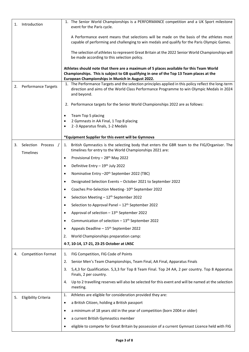| Introduction<br>1.                   | 1. The Senior World Championships is a PERFORMANCE competition and a UK Sport milestone<br>event for the Paris cycle.                                                                                                                  |
|--------------------------------------|----------------------------------------------------------------------------------------------------------------------------------------------------------------------------------------------------------------------------------------|
|                                      | A Performance event means that selections will be made on the basis of the athletes most<br>capable of performing and challenging to win medals and qualify for the Paris Olympic Games.                                               |
|                                      | The selection of athletes to represent Great Britain at the 2022 Senior World Championships will<br>be made according to this selection policy.                                                                                        |
|                                      | Athletes should note that there are a maximum of 5 places available for this Team World<br>Championships. This is subject to GB qualifying in one of the Top 13 Team places at the<br>European Championships in Munich in August 2022. |
| <b>Performance Targets</b><br>2.     | 1. The Performance Targets and the selection principles applied in this policy reflect the long-term<br>direction and aims of the World Class Performance Programme to win Olympic Medals in 2024<br>and beyond.                       |
|                                      | 2. Performance targets for the Senior World Championships 2022 are as follows:                                                                                                                                                         |
|                                      | Team Top 5 placing<br>٠                                                                                                                                                                                                                |
|                                      | 2 Gymnasts in AA Final, 1 Top 8 placing                                                                                                                                                                                                |
|                                      | 2-3 Apparatus finals, 1-2 Medals                                                                                                                                                                                                       |
|                                      | *Equipment Supplier for this event will be Gymnova                                                                                                                                                                                     |
| Selection Process<br>3.<br>Timelines | British Gymnastics is the selecting body that enters the GBR team to the FIG/Organiser. The<br>1.<br>timelines for entry to the World Championships 2021 are:                                                                          |
|                                      | Provisional Entry - 28 <sup>th</sup> May 2022<br>$\bullet$                                                                                                                                                                             |
|                                      | Definitive Entry - 19th July 2022<br>$\bullet$                                                                                                                                                                                         |
|                                      | Nominative Entry - 20 <sup>th</sup> September 2022 (TBC)<br>$\bullet$                                                                                                                                                                  |
|                                      | Designated Selection Events - October 2021 to September 2022<br>$\bullet$                                                                                                                                                              |
|                                      | Coaches Pre-Selection Meeting- 10 <sup>th</sup> September 2022<br>٠                                                                                                                                                                    |
|                                      | Selection Meeting - 12 <sup>th</sup> September 2022                                                                                                                                                                                    |
|                                      | Selection to Approval Panel - 12 <sup>th</sup> September 2022                                                                                                                                                                          |
|                                      | Approval of selection - 13 <sup>th</sup> September 2022                                                                                                                                                                                |
|                                      | Communication of selection - 13 <sup>th</sup> September 2022<br>$\bullet$                                                                                                                                                              |
|                                      | Appeals Deadline - 15 <sup>th</sup> September 2022<br>$\bullet$                                                                                                                                                                        |
|                                      | World Championships preparation camp:<br>2.                                                                                                                                                                                            |
|                                      | 4-7, 10-14, 17-21, 23-25 October at LNSC                                                                                                                                                                                               |
| <b>Competition Format</b><br>4.      | FIG Competition, FIG Code of Points<br>1.                                                                                                                                                                                              |
|                                      | Senior Men's Team Championships, Team Final, AA Final, Apparatus Finals<br>2.                                                                                                                                                          |
|                                      | 5,4,3 for Qualification. 5,3,3 for Top 8 Team Final. Top 24 AA, 2 per country. Top 8 Apparatus<br>3.<br>Finals, 2 per country.                                                                                                         |
|                                      | Up to 2 travelling reserves will also be selected for this event and will be named at the selection<br>4.<br>meeting.                                                                                                                  |
| <b>Eligibility Criteria</b><br>5.    | Athletes are eligible for consideration provided they are:<br>1.                                                                                                                                                                       |
|                                      | a British Citizen, holding a British passport<br>$\bullet$                                                                                                                                                                             |
|                                      | a minimum of 18 years old in the year of competition (born 2004 or older)<br>$\bullet$                                                                                                                                                 |
|                                      | a current British Gymnastics member<br>$\bullet$                                                                                                                                                                                       |
|                                      | eligible to compete for Great Britain by possession of a current Gymnast Licence held with FIG                                                                                                                                         |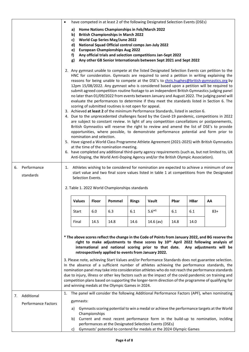|    |                            | $\bullet$                                                                                                                                                                                                                                                                                                                                                                                                                                                                                                                                                                                                                                                                                                                                                                                                                                                                                                                                                                                                                                                                                                                                                                                                                                                                                                                                                                                                                                                                                                                                                                                                                                                                                   |                                        |               |                                                                                                                                                                               |              | have competed in at least 2 of the following Designated Selection Events (DSEs)                                                                                                                                                                                                                                                                                                                                                                                                                                   |      |             |       |  |
|----|----------------------------|---------------------------------------------------------------------------------------------------------------------------------------------------------------------------------------------------------------------------------------------------------------------------------------------------------------------------------------------------------------------------------------------------------------------------------------------------------------------------------------------------------------------------------------------------------------------------------------------------------------------------------------------------------------------------------------------------------------------------------------------------------------------------------------------------------------------------------------------------------------------------------------------------------------------------------------------------------------------------------------------------------------------------------------------------------------------------------------------------------------------------------------------------------------------------------------------------------------------------------------------------------------------------------------------------------------------------------------------------------------------------------------------------------------------------------------------------------------------------------------------------------------------------------------------------------------------------------------------------------------------------------------------------------------------------------------------|----------------------------------------|---------------|-------------------------------------------------------------------------------------------------------------------------------------------------------------------------------|--------------|-------------------------------------------------------------------------------------------------------------------------------------------------------------------------------------------------------------------------------------------------------------------------------------------------------------------------------------------------------------------------------------------------------------------------------------------------------------------------------------------------------------------|------|-------------|-------|--|
|    |                            |                                                                                                                                                                                                                                                                                                                                                                                                                                                                                                                                                                                                                                                                                                                                                                                                                                                                                                                                                                                                                                                                                                                                                                                                                                                                                                                                                                                                                                                                                                                                                                                                                                                                                             | a)<br>b)<br>c)<br>d)<br>e)<br>f)<br>g) |               | Home Nations Championships in Feb/March 2022<br><b>British Championships in March 2022</b><br><b>World Cup Series May/June 2022</b><br><b>European Championships Aug 2022</b> |              | National Squad Official control comps Jan-July 2022<br>Any official trials and selection competitions Jan-Sept 2022<br>Any other GB Senior Internationals between Sept 2021 and Sept 2022                                                                                                                                                                                                                                                                                                                         |      |             |       |  |
| 6. | Performance                | 2. Any gymnast unable to compete at the listed Designated Selection Events can petition to the<br>HNC for consideration. Gymnasts are required to send a petition in writing explaining the<br>reasons for being unable to compete at the DSE's to chris.hughes@british-gymnastics.org by<br>12pm 15/08/2022. Any gymnast who is considered based upon a petition will be required to<br>submit agreed competition routine footage to an independent British Gymnastics judging panel<br>no later than 01/09/2022 from events between January and August 2022. The judging panel will<br>evaluate the performances to determine if they meet the standards listed in Section 6. The<br>scoring of submitted routines is not open for appeal.<br>3. Achieved at least 2 of the minimum Performance Standards, listed in section 6.<br>4. Due to the unprecedented challenges faced by the Covid-19 pandemic, competitions in 2022<br>are subject to constant review. In light of any competition cancellations or postponements,<br>British Gymnastics will reserve the right to review and amend the list of DSE's to provide<br>opportunities, where possible, to demonstrate performance potential and form prior to<br>nomination and selection.<br>5. Have signed a World Class Programme Athlete Agreement (2021-2025) with British Gymnastics<br>at the time of the nomination meeting.<br>6. have completed any additional third-party agency requirements (such as, but not limited to, UK<br>Anti-Doping, the World Anti-Doping Agency and/or the British Olympic Association).<br>Athletes wishing to be considered for nomination are expected to achieve a minimum of one<br>1. |                                        |               |                                                                                                                                                                               |              |                                                                                                                                                                                                                                                                                                                                                                                                                                                                                                                   |      |             |       |  |
|    | standards                  | start value and two final score values listed in table 1 at competitions from the Designated<br>Selection Events.<br>2. Table 1. 2022 World Championships standards                                                                                                                                                                                                                                                                                                                                                                                                                                                                                                                                                                                                                                                                                                                                                                                                                                                                                                                                                                                                                                                                                                                                                                                                                                                                                                                                                                                                                                                                                                                         |                                        |               |                                                                                                                                                                               |              |                                                                                                                                                                                                                                                                                                                                                                                                                                                                                                                   |      |             |       |  |
|    |                            |                                                                                                                                                                                                                                                                                                                                                                                                                                                                                                                                                                                                                                                                                                                                                                                                                                                                                                                                                                                                                                                                                                                                                                                                                                                                                                                                                                                                                                                                                                                                                                                                                                                                                             | <b>Values</b>                          | <b>Floor</b>  | Pommel                                                                                                                                                                        | <b>Rings</b> | Vault                                                                                                                                                                                                                                                                                                                                                                                                                                                                                                             | Pbar | <b>HBar</b> | AA    |  |
|    |                            |                                                                                                                                                                                                                                                                                                                                                                                                                                                                                                                                                                                                                                                                                                                                                                                                                                                                                                                                                                                                                                                                                                                                                                                                                                                                                                                                                                                                                                                                                                                                                                                                                                                                                             | <b>Start</b>                           | 6.0           | 6.3                                                                                                                                                                           | 6.1          | $5.6*1$                                                                                                                                                                                                                                                                                                                                                                                                                                                                                                           | 6.1  | 6.1         | $83+$ |  |
|    |                            |                                                                                                                                                                                                                                                                                                                                                                                                                                                                                                                                                                                                                                                                                                                                                                                                                                                                                                                                                                                                                                                                                                                                                                                                                                                                                                                                                                                                                                                                                                                                                                                                                                                                                             | Final                                  | 14.5          | 14.8                                                                                                                                                                          | 14.6         | $14.6$ (av)                                                                                                                                                                                                                                                                                                                                                                                                                                                                                                       | 14.8 | 14.0        |       |  |
|    |                            |                                                                                                                                                                                                                                                                                                                                                                                                                                                                                                                                                                                                                                                                                                                                                                                                                                                                                                                                                                                                                                                                                                                                                                                                                                                                                                                                                                                                                                                                                                                                                                                                                                                                                             |                                        |               |                                                                                                                                                                               |              | * The above scores reflect the change in the Code of Points from January 2022, and BG reserve the<br>right to make adjustments to these scores by 10 <sup>th</sup> April 2022 following analysis of<br>international and national scoring prior to that date. Any adjustments will be<br>retrospectively applied to events from January 2022.                                                                                                                                                                     |      |             |       |  |
|    |                            |                                                                                                                                                                                                                                                                                                                                                                                                                                                                                                                                                                                                                                                                                                                                                                                                                                                                                                                                                                                                                                                                                                                                                                                                                                                                                                                                                                                                                                                                                                                                                                                                                                                                                             |                                        |               | and winning medals at the Olympic Games in 2024.                                                                                                                              |              | 3. Please note, achieving Start Values and/or Performance Standards does not guarantee selection.<br>In the absence of a sufficient number of athletes achieving the performance standards, the<br>nomination panel may take into consideration athletes who do not reach the performance standards<br>due to injury, illness or other key factors such as the impact of the covid pandemic on training and<br>competition plans based on supporting the longer-term direction of the programme of qualifying for |      |             |       |  |
| 7. | Additional                 | 1.                                                                                                                                                                                                                                                                                                                                                                                                                                                                                                                                                                                                                                                                                                                                                                                                                                                                                                                                                                                                                                                                                                                                                                                                                                                                                                                                                                                                                                                                                                                                                                                                                                                                                          |                                        |               |                                                                                                                                                                               |              | The panel will consider the following Additional Performance Factors (APF), when nominating                                                                                                                                                                                                                                                                                                                                                                                                                       |      |             |       |  |
|    | <b>Performance Factors</b> |                                                                                                                                                                                                                                                                                                                                                                                                                                                                                                                                                                                                                                                                                                                                                                                                                                                                                                                                                                                                                                                                                                                                                                                                                                                                                                                                                                                                                                                                                                                                                                                                                                                                                             | gymnasts:                              |               |                                                                                                                                                                               |              |                                                                                                                                                                                                                                                                                                                                                                                                                                                                                                                   |      |             |       |  |
|    |                            |                                                                                                                                                                                                                                                                                                                                                                                                                                                                                                                                                                                                                                                                                                                                                                                                                                                                                                                                                                                                                                                                                                                                                                                                                                                                                                                                                                                                                                                                                                                                                                                                                                                                                             | a)<br>b)<br>c)                         | Championships |                                                                                                                                                                               |              | Gymnasts scoring potential to win a medal or achieve the performance targets at the World<br>Current and most recent performance form in the build-up to nomination, inclding<br>performances at the Designated Selection Events (DSEs)<br>Gymnasts' potential to contend for medals at the 2024 Olympic Games                                                                                                                                                                                                    |      |             |       |  |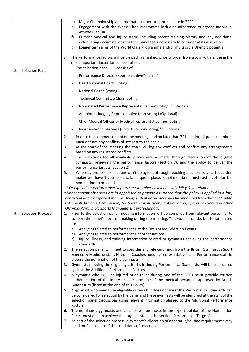|                                | Major Championship and International performance calibre in 2022<br>d)<br>Engagement with the World Class Programme including adherence to agreed Individual<br>e)<br>Athlete Plan (IAP)<br>f)<br>Current medical and injury status including recent training history and any additional<br>extenuating circumstances that the panel feels necessary to consider at its discretion<br>Longer term aims of the World Class Programme and/or multi cycle Olympic potential<br>g)<br>The Performance factors will be viewed in a ranked, priority order from a to g, with 'a' being the<br>2. |
|--------------------------------|--------------------------------------------------------------------------------------------------------------------------------------------------------------------------------------------------------------------------------------------------------------------------------------------------------------------------------------------------------------------------------------------------------------------------------------------------------------------------------------------------------------------------------------------------------------------------------------------|
|                                | most important factor for consideration.<br>1.                                                                                                                                                                                                                                                                                                                                                                                                                                                                                                                                             |
| <b>Selection Panel</b><br>8.   | The selection panel will consist of:<br>Performance Director/Representative*1 (chair)<br>$\overline{\phantom{a}}$                                                                                                                                                                                                                                                                                                                                                                                                                                                                          |
|                                | Head National Coach (voting)                                                                                                                                                                                                                                                                                                                                                                                                                                                                                                                                                               |
|                                | National Coach (voting)                                                                                                                                                                                                                                                                                                                                                                                                                                                                                                                                                                    |
|                                | Technical Committee Chair (voting)                                                                                                                                                                                                                                                                                                                                                                                                                                                                                                                                                         |
|                                | Nominated Performance Representative (non-voting) (Optional)                                                                                                                                                                                                                                                                                                                                                                                                                                                                                                                               |
|                                | Appointed Judging Representative (non-voting) (Optional)                                                                                                                                                                                                                                                                                                                                                                                                                                                                                                                                   |
|                                | Chief Medical Officer or Medical representative (non-voting)                                                                                                                                                                                                                                                                                                                                                                                                                                                                                                                               |
|                                | Independent Observers (up to two, non-voting)*2 (Optional)                                                                                                                                                                                                                                                                                                                                                                                                                                                                                                                                 |
|                                | 2.<br>Prior to the commencement of the meeting, and no later than 72 hrs prior, all panel members<br>must declare any conflicts of interest to the chair.                                                                                                                                                                                                                                                                                                                                                                                                                                  |
|                                | At the start of the meeting the chair will log any conflicts and confirm any arrangements<br>3.<br>based on any registered conflicts.                                                                                                                                                                                                                                                                                                                                                                                                                                                      |
|                                | The selections for all available places will be made through discussion of the eligible<br>4.<br>gymnasts, reviewing the performance factors (section 7), and the ability to deliver the<br>performance targets (section 2).                                                                                                                                                                                                                                                                                                                                                               |
|                                | Whereby proposed selections can't be agreed through reaching a consensus, each decision<br>5.<br>maker will have 1 vote per available quota place. Panel members must cast a vote for the<br>nomination to proceed.                                                                                                                                                                                                                                                                                                                                                                        |
|                                | *1 Or equivalent Performance Department member based on availability & suitability<br>*2Independent observers are in appointed to provide assurance that the policy is applied in a fair,<br>consistent and transparent manner. Independent observers could be appointed from (but not limited<br>to) British Athletes Commission, UK Sport, British Olympic Association, Sports Lawyers and other<br>Olympic/Paralympic Sports Management professionals.                                                                                                                                  |
| 9.<br><b>Selection Process</b> | Prior to the selection panel meeting information will be compiled from relevant personnel to<br>1.<br>support the panel's decision making during the meeting. This would include, but is not limited<br>to:                                                                                                                                                                                                                                                                                                                                                                                |
|                                | Analytics related to performances at the Designated Selection Events<br>a)<br>Analytics related to performances of other nations<br>b)                                                                                                                                                                                                                                                                                                                                                                                                                                                     |
|                                | Injury, illness, and training information related to gymnasts achieving the performance<br>C)<br>standards                                                                                                                                                                                                                                                                                                                                                                                                                                                                                 |
|                                | The selection panel will meet to consider any relevant input from the British Gymnastics Sport<br>2.<br>Science & Medicine staff, National Coaches, judging representatives and Performance staff to<br>discuss the nomination of the gymnasts.                                                                                                                                                                                                                                                                                                                                            |
|                                | Gymnasts meeting the eligibility criteria, including Performance Standards, will be considered<br>3.<br>against the Additional Performance Factors.                                                                                                                                                                                                                                                                                                                                                                                                                                        |
|                                | A gymnast who is ill or injured prior to or during one of the DSEs must provide written<br>4.<br>authentication of the injury or illness by one of the medical personnel approved by British<br>Gymnastics (listed at the end of this Policy).                                                                                                                                                                                                                                                                                                                                             |
|                                | A gymnast who meets the eligibility criteria but does not meet the Performance Standards can<br>5.<br>be considered for selection by the panel and these gymnasts will be identified at the start of the<br>selection panel discussions using relevant information aligned to the Additional Performance<br>Factors.                                                                                                                                                                                                                                                                       |
|                                | The nominated gymnasts and coaches will be those, in the expert opinion of the Nomination<br>6.<br>Panel, most able to achieve the targets listed in the section 'Performance Targets'.                                                                                                                                                                                                                                                                                                                                                                                                    |
|                                | As part of the selection process, a gymnast's allocation of apparatus/routine requirements may<br>7.<br>be identified as part of the conditions of selection.                                                                                                                                                                                                                                                                                                                                                                                                                              |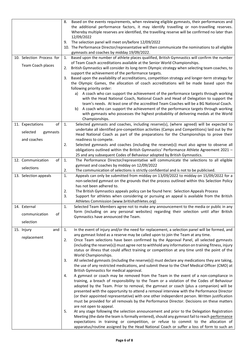|                           | 8. | Based on the events requirements, when reviewing eligible gymnasts, their performances and        |
|---------------------------|----|---------------------------------------------------------------------------------------------------|
|                           |    | the additional performance factors, it may identify travelling or non-travelling reserves.        |
|                           |    | Whereby multiple reserves are identified, the travelling reserve will be confirmed no later than  |
|                           |    |                                                                                                   |
|                           |    | 12/09/2022                                                                                        |
|                           | 9. | The selection panel will meet on/before 12/09/2022                                                |
|                           |    | 10. The Performance Director/representative will then communicate the nominations to all eligible |
|                           |    | gymnasts and coaches by midday 19/09/2022.                                                        |
| 10. Selection Process for | 1. | Based upon the number of athlete places qualified, British Gymnastics will confirm the number     |
|                           |    | of Team Coach accreditations available at the Senior World Championships.                         |
| Team Coach places         | 2. | British Gymnastics will consider its long-term Olympic strategy when selecting team coaches, to   |
|                           |    | support the achievement of the performance targets.                                               |
|                           |    |                                                                                                   |
|                           | 3. | Based upon the availability of accreditations, competition strategy and longer-term strategy for  |
|                           |    | the Olympic Games, the allocation of coach accreditations will be made based upon the             |
|                           |    | following priority order:                                                                         |
|                           |    | a) A coach who can support the achievement of the performance targets through working             |
|                           |    | with the Head National Coach, National Coach and Head of Delegation to support the                |
|                           |    | team's needs. At least one of the accredited Team Coaches will be a BG National Coach.            |
|                           |    | A coach who can support the achievement of the performance targets through working<br>b)          |
|                           |    | with gymnasts who possesses the highest probability of delivering medals at the World             |
|                           |    |                                                                                                   |
|                           |    | Championships.                                                                                    |
| оf<br>11. Expectations    | 1. | Selected gymnasts and coaches, including reserve(s), (where agreed) will be expected to           |
| selected<br>gymnasts      |    | undertake all identified pre-competition activities (Camps and Competitions) laid out by the      |
|                           |    | Head National Coach as part of the preparations for the Championships to prove their              |
| and coaches               |    | readiness to compete.                                                                             |
|                           | 2. | Selected gymnasts and coaches (including the reserve(s)) must also agree to observe all           |
|                           |    | obligations outlined within the British Gymnastics' Performance Athlete Agreement 2021 -          |
|                           |    | 25 and any subsequent Codes of Behaviour adopted by British Gymnastics.                           |
| 12. Communication<br>of   | 1. | The Performance Director/representative will communicate the selections to all eligible           |
|                           |    | gymnast and coaches by midday on 12/09/2022                                                       |
| selections                |    |                                                                                                   |
|                           | 2. | The communication of selections is strictly confidential and is not to be publicised.             |
| 13. Selection appeals     | 1. | Appeals can only be submitted from midday on 13/09/2022 to midday on 15/09/2022 for a             |
|                           |    | non-selected gymnast on the grounds that the process outlined within this Selection Policy        |
|                           |    | has not been adhered to.                                                                          |
|                           | 2. | The British Gymnastics appeals policy can be found here: Selection Appeals Process                |
|                           | 3. | Support for athletes when considering or pursuing an appeal is available from the British         |
|                           |    | Athletes Commission (www.britishathletes.org)                                                     |
| 14. External              | 1. | Selected Team Members agree not to make any announcement to the media or public in any            |
|                           |    | form (including on any personal websites) regarding their selection until after British           |
| of<br>communication       |    | Gymnastics have announced the Team.                                                               |
| selection                 |    |                                                                                                   |
|                           |    |                                                                                                   |
| 15. Injury<br>and         | 1. | In the event of injury and/or the need for replacement, a selection panel will be formed, and     |
|                           |    | any gymnast listed as a reserve may be called upon to join the Team at any time.                  |
| replacement               | 2. | Once Team selections have been confirmed by the Approval Panel, all selected gymnasts             |
|                           |    | (including the reserve(s)) must agree not to withhold any information on training fitness, injury |
|                           |    | status or illness that could affect training or competition at any time until the point of the    |
|                           |    | World Championships.                                                                              |
|                           |    |                                                                                                   |
|                           | 3. | All selected gymnasts (including the reserve(s)) must declare any medications they are taking,    |
|                           |    | the use of any restricted medications, and submit these to the Chief Medical Officer (CMO) at     |
|                           |    | British Gymnastics for medical approval.                                                          |
|                           | 4. | A gymnast or coach may be removed from the Team in the event of a non-compliance in               |
|                           |    | training, a breach of responsibility to the Team or a violation of the Codes of Behaviour         |
|                           |    | adopted by the Team. Prior to removal, the gymnast or coach (plus a companion) will be            |
|                           |    | presented with the opportunity to attend a removal interview with the Performance Director        |
|                           |    | (or their appointed representative) with one other independent person. Written justification      |
|                           |    | must be provided for all removals by the Performance Director. Decisions on these matters         |
|                           |    |                                                                                                   |
|                           |    | are not open to appeal.                                                                           |
|                           | 5. | At any stage following the selection announcement and prior to the Delegation Registration        |
|                           |    | Meeting (the date the team is formally entered), should any gymnast fail to reach performance     |
|                           |    | expectations in training or competition, or refuse to commit to the allocation of                 |
|                           |    | apparatus/routine assigned by the Head National Coach or suffer a loss of form to such an         |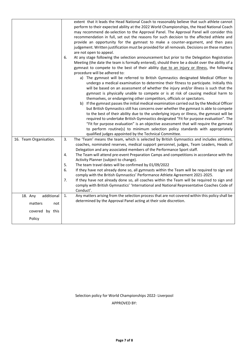|                        | extent that it leads the Head National Coach to reasonably believe that such athlete cannot<br>perform to their expected ability at the 2022 World Championships, the Head National Coach<br>may recommend de-selection to the Approval Panel. The Approval Panel will consider this<br>recommendation in full, set out the reasons for such decision to the affected athlete and<br>provide an opportunity for the gymnast to make a counter-argument, and then pass<br>judgement. Written justification must be provided for all removals. Decisions on these matters<br>are not open to appeal.<br>6.<br>At any stage following the selection announcement but prior to the Delegation Registration<br>Meeting (the date the team is formally entered), should there be a doubt over the ability of a<br>gymnast to compete to the best of their ability due to an injury or illness, the following<br>procedure will be adhered to:<br>a) The gymnast will be referred to British Gymnastics designated Medical Officer to<br>undergo a medical examination to determine their fitness to participate. Initially this<br>will be based on an assessment of whether the injury and/or illness is such that the<br>gymnast is physically unable to compete or is at risk of causing medical harm to<br>themselves, or endangering other competitors, officials or spectators.<br>b) If the gymnast passes the initial medical examination carried out by the Medical Officer<br>but British Gymnastics still has concerns over whether the gymnast is able to compete<br>to the best of their ability due to the underlying injury or illness, the gymnast will be<br>required to undertake British Gymnastics designated "Fit for purpose evaluation". The<br>"Fit for purpose evaluation" is an objective assessment that will require the gymnast<br>to perform routine(s) to minimum selection policy standards with appropriately |
|------------------------|------------------------------------------------------------------------------------------------------------------------------------------------------------------------------------------------------------------------------------------------------------------------------------------------------------------------------------------------------------------------------------------------------------------------------------------------------------------------------------------------------------------------------------------------------------------------------------------------------------------------------------------------------------------------------------------------------------------------------------------------------------------------------------------------------------------------------------------------------------------------------------------------------------------------------------------------------------------------------------------------------------------------------------------------------------------------------------------------------------------------------------------------------------------------------------------------------------------------------------------------------------------------------------------------------------------------------------------------------------------------------------------------------------------------------------------------------------------------------------------------------------------------------------------------------------------------------------------------------------------------------------------------------------------------------------------------------------------------------------------------------------------------------------------------------------------------------------------------------------------------------------------------------------------------------------------|
|                        | qualified judges appointed by the Technical Committee.                                                                                                                                                                                                                                                                                                                                                                                                                                                                                                                                                                                                                                                                                                                                                                                                                                                                                                                                                                                                                                                                                                                                                                                                                                                                                                                                                                                                                                                                                                                                                                                                                                                                                                                                                                                                                                                                                   |
| 16. Team Organisation. | 3.<br>The 'Team' means the team, which is selected by British Gymnastics and includes athletes,<br>coaches, nominated reserves, medical support personnel, judges, Team Leaders, Heads of<br>Delegation and any associated members of the Performance Sport staff.<br>The Team will attend pre-event Preparation Camps and competitions in accordance with the<br>4.                                                                                                                                                                                                                                                                                                                                                                                                                                                                                                                                                                                                                                                                                                                                                                                                                                                                                                                                                                                                                                                                                                                                                                                                                                                                                                                                                                                                                                                                                                                                                                     |
|                        | Activity Planner (subject to change).                                                                                                                                                                                                                                                                                                                                                                                                                                                                                                                                                                                                                                                                                                                                                                                                                                                                                                                                                                                                                                                                                                                                                                                                                                                                                                                                                                                                                                                                                                                                                                                                                                                                                                                                                                                                                                                                                                    |
|                        | The team travel dates will be confirmed by 01/09/2022<br>5.<br>6.<br>If they have not already done so, all gymnasts within the Team will be required to sign and                                                                                                                                                                                                                                                                                                                                                                                                                                                                                                                                                                                                                                                                                                                                                                                                                                                                                                                                                                                                                                                                                                                                                                                                                                                                                                                                                                                                                                                                                                                                                                                                                                                                                                                                                                         |
|                        | comply with the British Gymnastics' Performance Athlete Agreement 2021-2025.                                                                                                                                                                                                                                                                                                                                                                                                                                                                                                                                                                                                                                                                                                                                                                                                                                                                                                                                                                                                                                                                                                                                                                                                                                                                                                                                                                                                                                                                                                                                                                                                                                                                                                                                                                                                                                                             |
|                        | If they have not already done so, all coaches within the Team will be required to sign and<br>7.<br>comply with British Gymnastics' 'International and National Representative Coaches Code of<br>Conduct'.                                                                                                                                                                                                                                                                                                                                                                                                                                                                                                                                                                                                                                                                                                                                                                                                                                                                                                                                                                                                                                                                                                                                                                                                                                                                                                                                                                                                                                                                                                                                                                                                                                                                                                                              |
| 18. Any<br>additional  | 1.<br>Any matters arising from the selection process that are not covered within this policy shall be                                                                                                                                                                                                                                                                                                                                                                                                                                                                                                                                                                                                                                                                                                                                                                                                                                                                                                                                                                                                                                                                                                                                                                                                                                                                                                                                                                                                                                                                                                                                                                                                                                                                                                                                                                                                                                    |
| matters<br>not         | determined by the Approval Panel acting at their sole discretion.                                                                                                                                                                                                                                                                                                                                                                                                                                                                                                                                                                                                                                                                                                                                                                                                                                                                                                                                                                                                                                                                                                                                                                                                                                                                                                                                                                                                                                                                                                                                                                                                                                                                                                                                                                                                                                                                        |
| covered by this        |                                                                                                                                                                                                                                                                                                                                                                                                                                                                                                                                                                                                                                                                                                                                                                                                                                                                                                                                                                                                                                                                                                                                                                                                                                                                                                                                                                                                                                                                                                                                                                                                                                                                                                                                                                                                                                                                                                                                          |
| Policy                 |                                                                                                                                                                                                                                                                                                                                                                                                                                                                                                                                                                                                                                                                                                                                                                                                                                                                                                                                                                                                                                                                                                                                                                                                                                                                                                                                                                                                                                                                                                                                                                                                                                                                                                                                                                                                                                                                                                                                          |

Selection policy for World Championships 2022- Liverpool

APPROVED BY: